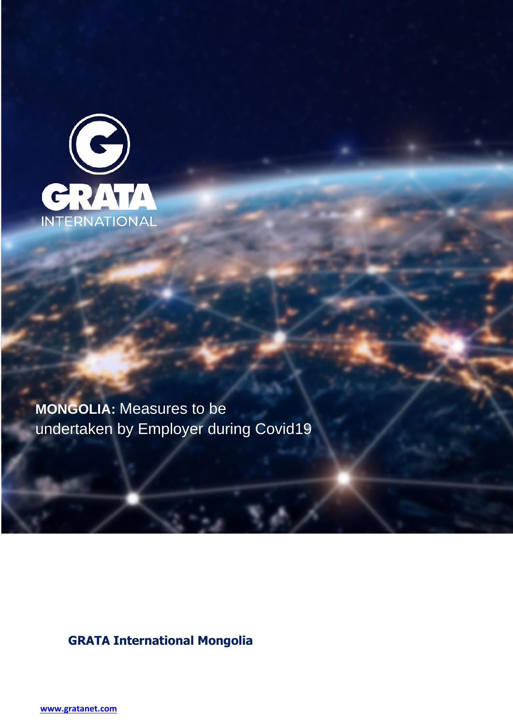

**MONGOLIA:** Measures to be undertaken by Employer during Covid19

**GRATA International Mongolia** 

**[www.gratanet.com](http://www.gratanet.com/)**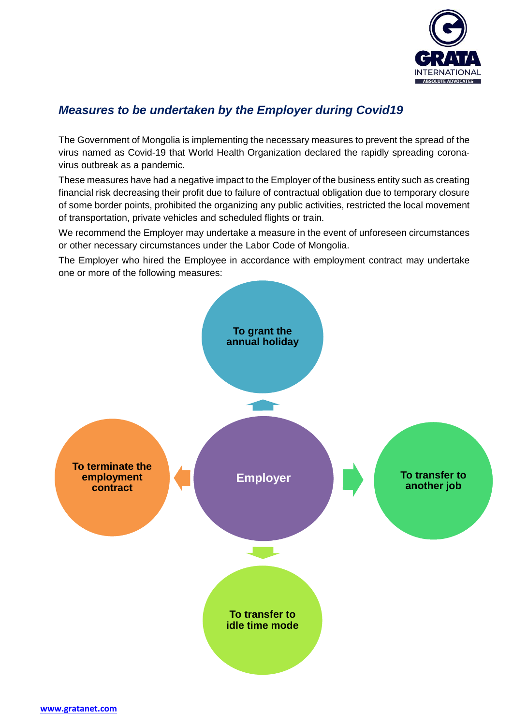

# *Measures to be undertaken by the Employer during Covid19*

The Government of Mongolia is implementing the necessary measures to prevent the spread of the virus named as Covid-19 that World Health Organization declared the rapidly spreading coronavirus outbreak as a pandemic.

These measures have had a negative impact to the Employer of the business entity such as creating financial risk decreasing their profit due to failure of contractual obligation due to temporary closure of some border points, prohibited the organizing any public activities, restricted the local movement of transportation, private vehicles and scheduled flights or train.

We recommend the Employer may undertake a measure in the event of unforeseen circumstances or other necessary circumstances under the Labor Code of Mongolia.

The Employer who hired the Employee in accordance with employment contract may undertake one or more of the following measures: